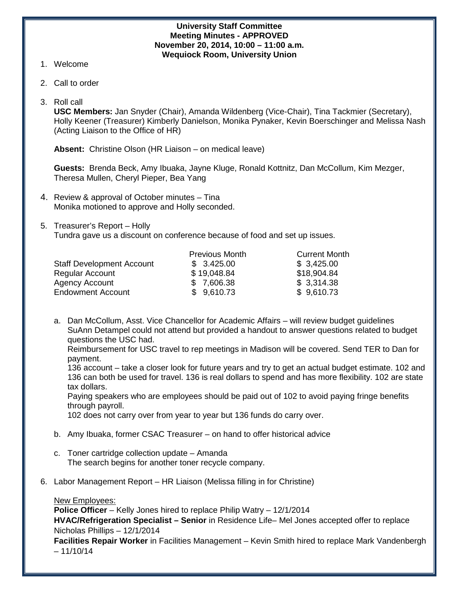#### **University Staff Committee Meeting Minutes - APPROVED November 20, 2014, 10:00 – 11:00 a.m. Wequiock Room, University Union**

- 1. Welcome
- 2. Call to order
- 3. Roll call

**USC Members:** Jan Snyder (Chair), Amanda Wildenberg (Vice-Chair), Tina Tackmier (Secretary), Holly Keener (Treasurer) Kimberly Danielson, Monika Pynaker, Kevin Boerschinger and Melissa Nash (Acting Liaison to the Office of HR)

**Absent:** Christine Olson (HR Liaison – on medical leave)

**Guests:** Brenda Beck, Amy Ibuaka, Jayne Kluge, Ronald Kottnitz, Dan McCollum, Kim Mezger, Theresa Mullen, Cheryl Pieper, Bea Yang

- 4. Review & approval of October minutes Tina Monika motioned to approve and Holly seconded.
- 5. Treasurer's Report Holly

Tundra gave us a discount on conference because of food and set up issues.

|                                  | <b>Previous Month</b> | <b>Current Month</b> |
|----------------------------------|-----------------------|----------------------|
| <b>Staff Development Account</b> | \$3.425.00            | \$3,425.00           |
| <b>Regular Account</b>           | \$19,048.84           | \$18,904.84          |
| <b>Agency Account</b>            | \$7,606.38            | \$3,314.38           |
| <b>Endowment Account</b>         | \$9,610.73            | \$9,610.73           |

a. Dan McCollum, Asst. Vice Chancellor for Academic Affairs – will review budget guidelines SuAnn Detampel could not attend but provided a handout to answer questions related to budget questions the USC had.

Reimbursement for USC travel to rep meetings in Madison will be covered. Send TER to Dan for payment.

136 account – take a closer look for future years and try to get an actual budget estimate. 102 and 136 can both be used for travel. 136 is real dollars to spend and has more flexibility. 102 are state tax dollars.

Paying speakers who are employees should be paid out of 102 to avoid paying fringe benefits through payroll.

102 does not carry over from year to year but 136 funds do carry over.

- b. Amy Ibuaka, former CSAC Treasurer on hand to offer historical advice
- c. Toner cartridge collection update Amanda The search begins for another toner recycle company.
- 6. Labor Management Report HR Liaison (Melissa filling in for Christine)

New Employees:

**Police Officer** – Kelly Jones hired to replace Philip Watry – 12/1/2014

**HVAC/Refrigeration Specialist – Senior** in Residence Life– Mel Jones accepted offer to replace Nicholas Phillips – 12/1/2014

**Facilities Repair Worker** in Facilities Management – Kevin Smith hired to replace Mark Vandenbergh  $-11/10/14$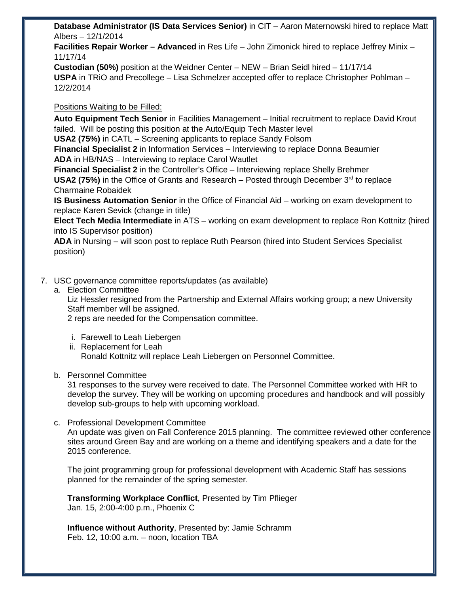**Database Administrator (IS Data Services Senior)** in CIT – Aaron Maternowski hired to replace Matt Albers – 12/1/2014

**Facilities Repair Worker – Advanced** in Res Life – John Zimonick hired to replace Jeffrey Minix – 11/17/14

**Custodian (50%)** position at the Weidner Center – NEW – Brian Seidl hired – 11/17/14 **USPA** in TRiO and Precollege – Lisa Schmelzer accepted offer to replace Christopher Pohlman – 12/2/2014

# Positions Waiting to be Filled:

**Auto Equipment Tech Senior** in Facilities Management – Initial recruitment to replace David Krout failed. Will be posting this position at the Auto/Equip Tech Master level

**USA2 (75%)** in CATL – Screening applicants to replace Sandy Folsom

**Financial Specialist 2** in Information Services – Interviewing to replace Donna Beaumier **ADA** in HB/NAS – Interviewing to replace Carol Wautlet

**Financial Specialist 2** in the Controller's Office – Interviewing replace Shelly Brehmer **USA2 (75%)** in the Office of Grants and Research – Posted through December 3rd to replace Charmaine Robaidek

**IS Business Automation Senior** in the Office of Financial Aid – working on exam development to replace Karen Sevick (change in title)

**Elect Tech Media Intermediate** in ATS – working on exam development to replace Ron Kottnitz (hired into IS Supervisor position)

**ADA** in Nursing – will soon post to replace Ruth Pearson (hired into Student Services Specialist position)

- 7. USC governance committee reports/updates (as available)
	- a. Election Committee

Liz Hessler resigned from the Partnership and External Affairs working group; a new University Staff member will be assigned.

2 reps are needed for the Compensation committee.

- i. Farewell to Leah Liebergen
- ii. Replacement for Leah Ronald Kottnitz will replace Leah Liebergen on Personnel Committee.

### b. Personnel Committee

31 responses to the survey were received to date. The Personnel Committee worked with HR to develop the survey. They will be working on upcoming procedures and handbook and will possibly develop sub-groups to help with upcoming workload.

### c. Professional Development Committee

An update was given on Fall Conference 2015 planning. The committee reviewed other conference sites around Green Bay and are working on a theme and identifying speakers and a date for the 2015 conference.

The joint programming group for professional development with Academic Staff has sessions planned for the remainder of the spring semester.

**Transforming Workplace Conflict**, Presented by Tim Pflieger Jan. 15, 2:00-4:00 p.m., Phoenix C

**Influence without Authority**, Presented by: Jamie Schramm Feb. 12, 10:00 a.m. – noon, location TBA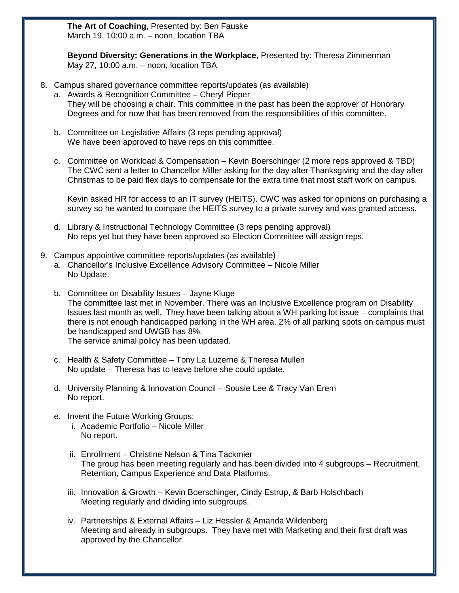**The Art of Coaching**, Presented by: Ben Fauske March 19, 10:00 a.m. – noon, location TBA

**Beyond Diversity: Generations in the Workplace**, Presented by: Theresa Zimmerman May 27, 10:00 a.m. – noon, location TBA

- 8. Campus shared governance committee reports/updates (as available)
	- a. Awards & Recognition Committee Cheryl Pieper They will be choosing a chair. This committee in the past has been the approver of Honorary Degrees and for now that has been removed from the responsibilities of this committee.
	- b. Committee on Legislative Affairs (3 reps pending approval) We have been approved to have reps on this committee.
	- c. Committee on Workload & Compensation Kevin Boerschinger (2 more reps approved & TBD) The CWC sent a letter to Chancellor Miller asking for the day after Thanksgiving and the day after Christmas to be paid flex days to compensate for the extra time that most staff work on campus.

Kevin asked HR for access to an IT survey (HEITS). CWC was asked for opinions on purchasing a survey so he wanted to compare the HEITS survey to a private survey and was granted access.

- d. Library & Instructional Technology Committee (3 reps pending approval) No reps yet but they have been approved so Election Committee will assign reps.
- 9. Campus appointive committee reports/updates (as available)
	- a. Chancellor's Inclusive Excellence Advisory Committee Nicole Miller No Update.
	- b. Committee on Disability Issues Jayne Kluge The committee last met in November. There was an Inclusive Excellence program on Disability Issues last month as well. They have been talking about a WH parking lot issue – complaints that there is not enough handicapped parking in the WH area. 2% of all parking spots on campus must be handicapped and UWGB has 8%. The service animal policy has been updated.
	- c. Health & Safety Committee Tony La Luzerne & Theresa Mullen No update – Theresa has to leave before she could update.
	- d. University Planning & Innovation Council Sousie Lee & Tracy Van Erem No report.
	- e. Invent the Future Working Groups:
		- i. Academic Portfolio Nicole Miller No report.
		- ii. Enrollment Christine Nelson & Tina Tackmier The group has been meeting regularly and has been divided into 4 subgroups – Recruitment, Retention, Campus Experience and Data Platforms.
		- iii. Innovation & Growth Kevin Boerschinger, Cindy Estrup, & Barb Holschbach Meeting regularly and dividing into subgroups.
		- iv. Partnerships & External Affairs Liz Hessler & Amanda Wildenberg Meeting and already in subgroups. They have met with Marketing and their first draft was approved by the Chancellor.